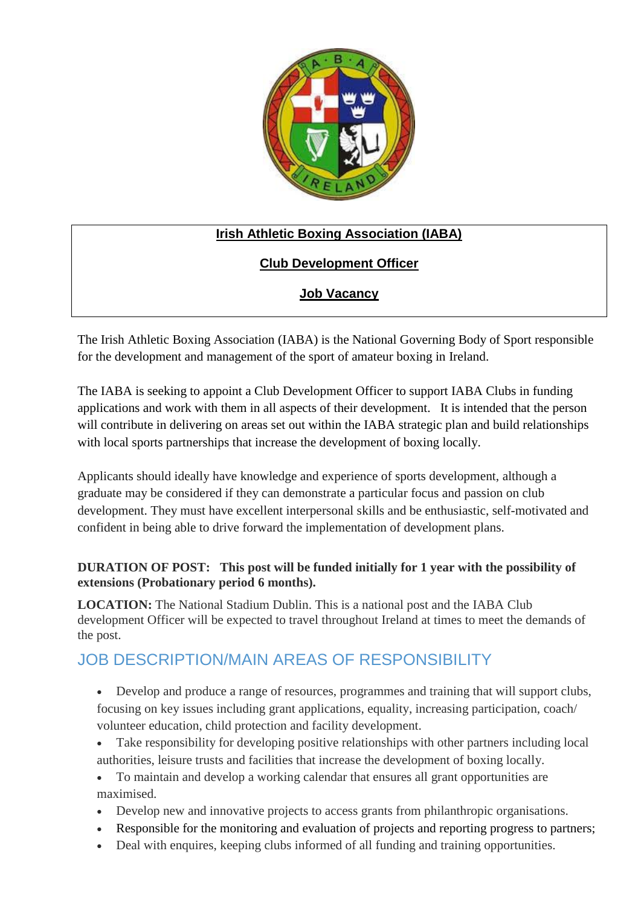

## **Irish Athletic Boxing Association (IABA)**

## **Club Development Officer**

## **Job Vacancy**

The Irish Athletic Boxing Association (IABA) is the National Governing Body of Sport responsible for the development and management of the sport of amateur boxing in Ireland.

The IABA is seeking to appoint a Club Development Officer to support IABA Clubs in funding applications and work with them in all aspects of their development. It is intended that the person will contribute in delivering on areas set out within the IABA strategic plan and build relationships with local sports partnerships that increase the development of boxing locally.

Applicants should ideally have knowledge and experience of sports development, although a graduate may be considered if they can demonstrate a particular focus and passion on club development. They must have excellent interpersonal skills and be enthusiastic, self-motivated and confident in being able to drive forward the implementation of development plans.

#### **DURATION OF POST: This post will be funded initially for 1 year with the possibility of extensions (Probationary period 6 months).**

**LOCATION:** The National Stadium Dublin. This is a national post and the IABA Club development Officer will be expected to travel throughout Ireland at times to meet the demands of the post.

# JOB DESCRIPTION/MAIN AREAS OF RESPONSIBILITY

 Develop and produce a range of resources, programmes and training that will support clubs, focusing on key issues including grant applications, equality, increasing participation, coach/ volunteer education, child protection and facility development.

- Take responsibility for developing positive relationships with other partners including local authorities, leisure trusts and facilities that increase the development of boxing locally.
- To maintain and develop a working calendar that ensures all grant opportunities are maximised.
- Develop new and innovative projects to access grants from philanthropic organisations.
- Responsible for the monitoring and evaluation of projects and reporting progress to partners;
- Deal with enquires, keeping clubs informed of all funding and training opportunities.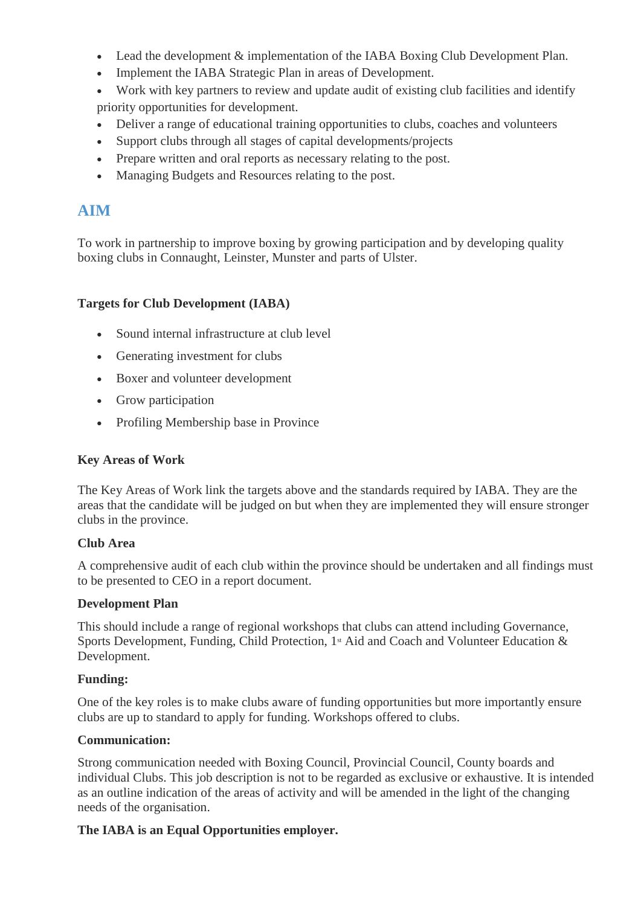- Lead the development & implementation of the IABA Boxing Club Development Plan.
- Implement the IABA Strategic Plan in areas of Development.
- Work with key partners to review and update audit of existing club facilities and identify priority opportunities for development.
- Deliver a range of educational training opportunities to clubs, coaches and volunteers
- Support clubs through all stages of capital developments/projects
- Prepare written and oral reports as necessary relating to the post.
- Managing Budgets and Resources relating to the post.

## **AIM**

To work in partnership to improve boxing by growing participation and by developing quality boxing clubs in Connaught, Leinster, Munster and parts of Ulster.

#### **Targets for Club Development (IABA)**

- Sound internal infrastructure at club level
- Generating investment for clubs
- Boxer and volunteer development
- Grow participation
- Profiling Membership base in Province

#### **Key Areas of Work**

The Key Areas of Work link the targets above and the standards required by IABA. They are the areas that the candidate will be judged on but when they are implemented they will ensure stronger clubs in the province.

#### **Club Area**

A comprehensive audit of each club within the province should be undertaken and all findings must to be presented to CEO in a report document.

#### **Development Plan**

This should include a range of regional workshops that clubs can attend including Governance, Sports Development, Funding, Child Protection, 1<sup>st</sup> Aid and Coach and Volunteer Education & Development.

#### **Funding:**

One of the key roles is to make clubs aware of funding opportunities but more importantly ensure clubs are up to standard to apply for funding. Workshops offered to clubs.

#### **Communication:**

Strong communication needed with Boxing Council, Provincial Council, County boards and individual Clubs. This job description is not to be regarded as exclusive or exhaustive. It is intended as an outline indication of the areas of activity and will be amended in the light of the changing needs of the organisation.

#### **The IABA is an Equal Opportunities employer.**